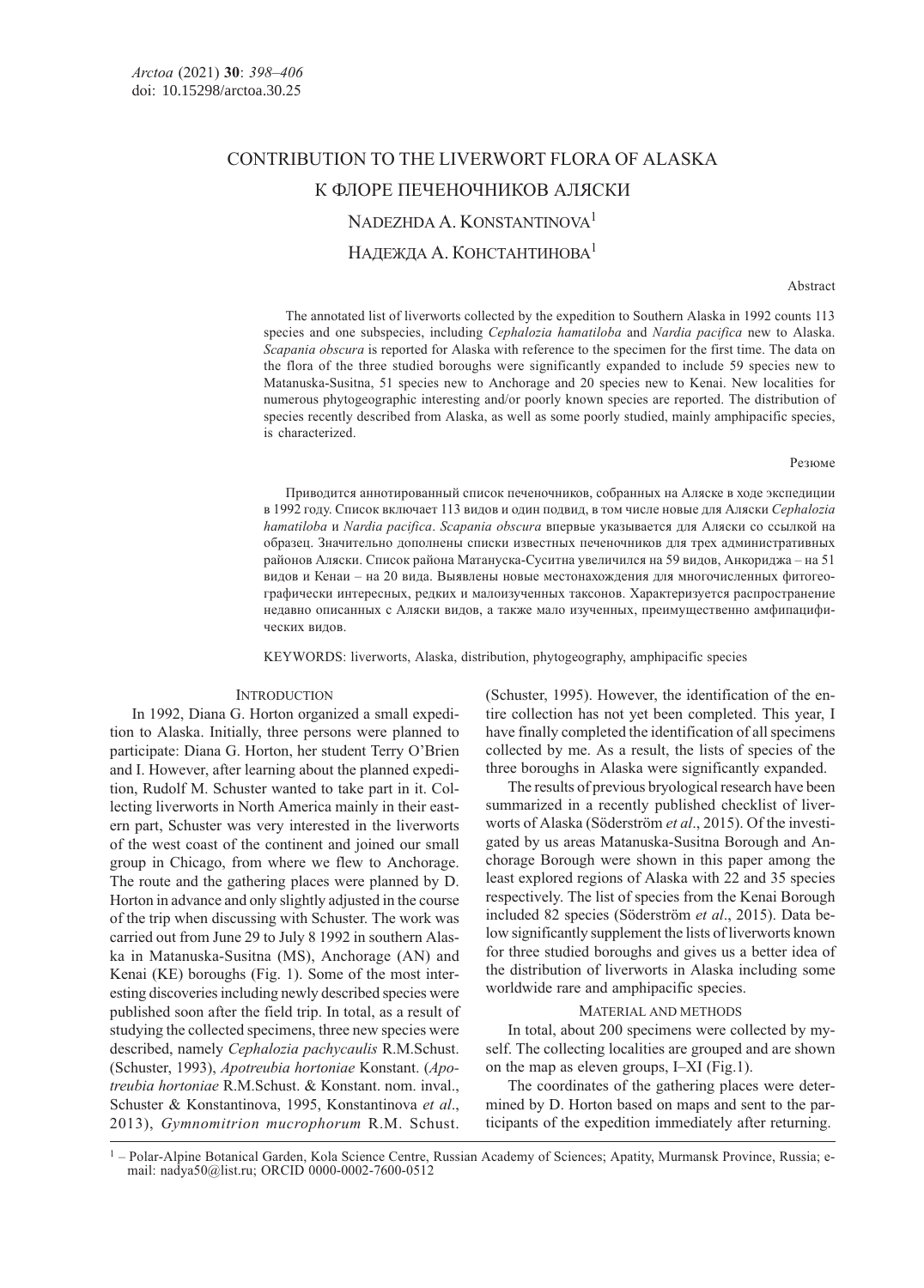# CONTRIBUTION TO THE LIVERWORT FLORA OF ALASKA К ФЛОРЕ ПЕЧЕНОЧНИКОВ АЛЯСКИ NADEZHDA A. KONSTANTINOVA<sup>1</sup> НАДЕЖДА А. КОНСТАНТИНОВА<sup>1</sup>

Abstract

The annotated list of liverworts collected by the expedition to Southern Alaska in 1992 counts 113 species and one subspecies, including Cephalozia hamatiloba and Nardia pacifica new to Alaska. Scapania obscura is reported for Alaska with reference to the specimen for the first time. The data on the flora of the three studied boroughs were significantly expanded to include 59 species new to Matanuska-Susitna, 51 species new to Anchorage and 20 species new to Kenai. New localities for numerous phytogeographic interesting and/or poorly known species are reported. The distribution of species recently described from Alaska, as well as some poorly studied, mainly amphipacific species, is characterized.

Резюме

Приводится аннотированный список печеночников, собранных на Аляске в ходе экспедиции в 1992 году. Список включает 113 видов и один подвид, в том числе новые для Аляски Cephalozia hamatiloba и Nardia pacifica. Scapania obscura впервые указывается для Аляски со ссылкой на образец. Значительно дополнены списки известных печеночников для трех административных районов Аляски. Список района Матануска-Суситна увеличился на 59 видов, Анкориджа – на 51 видов и Кенаи – на 20 вида. Выявлены новые местонахождения для многочисленных фитогеографически интересных, редких и малоизученных таксонов. Характеризуется распространение недавно описанных с Аляски видов, а также мало изученных, преимущественно амфипацифических видов.

KEYWORDS: liverworts, Alaska, distribution, phytogeography, amphipacific species

#### **INTRODUCTION**

In 1992, Diana G. Horton organized a small expedition to Alaska. Initially, three persons were planned to participate: Diana G. Horton, her student Terry O'Brien and I. However, after learning about the planned expedition, Rudolf M. Schuster wanted to take part in it. Collecting liverworts in North America mainly in their eastern part, Schuster was very interested in the liverworts of the west coast of the continent and joined our small group in Chicago, from where we flew to Anchorage. The route and the gathering places were planned by D. Horton in advance and only slightly adjusted in the course of the trip when discussing with Schuster. The work was carried out from June 29 to July 8 1992 in southern Alaska in Matanuska-Susitna (MS), Anchorage (AN) and Kenai (KE) boroughs (Fig. 1). Some of the most interesting discoveries including newly described species were published soon after the field trip. In total, as a result of studying the collected specimens, three new species were described, namely Cephalozia pachycaulis R.M.Schust. (Schuster, 1993), Apotreubia hortoniae Konstant. (Apotreubia hortoniae R.M.Schust. & Konstant. nom. inval., Schuster & Konstantinova, 1995, Konstantinova et al., 2013), Gymnomitrion mucrophorum R.M. Schust.

(Schuster, 1995). However, the identification of the entire collection has not yet been completed. This year, I have finally completed the identification of all specimens collected by me. As a result, the lists of species of the three boroughs in Alaska were significantly expanded.

The results of previous bryological research have been summarized in a recently published checklist of liverworts of Alaska (Söderström et al., 2015). Of the investigated by us areas Matanuska-Susitna Borough and Anchorage Borough were shown in this paper among the least explored regions of Alaska with 22 and 35 species respectively. The list of species from the Kenai Borough included 82 species (Söderström et al., 2015). Data below significantly supplement the lists of liverworts known for three studied boroughs and gives us a better idea of the distribution of liverworts in Alaska including some worldwide rare and amphipacific species.

## MATERIAL AND METHODS

In total, about 200 specimens were collected by myself. The collecting localities are grouped and are shown on the map as eleven groups, I–XI (Fig.1).

The coordinates of the gathering places were determined by D. Horton based on maps and sent to the participants of the expedition immediately after returning.

<sup>&</sup>lt;sup>1</sup> – Polar-Alpine Botanical Garden, Kola Science Centre, Russian Academy of Sciences; Apatity, Murmansk Province, Russia; email: nadya50@list.ru; ORCID 0000-0002-7600-0512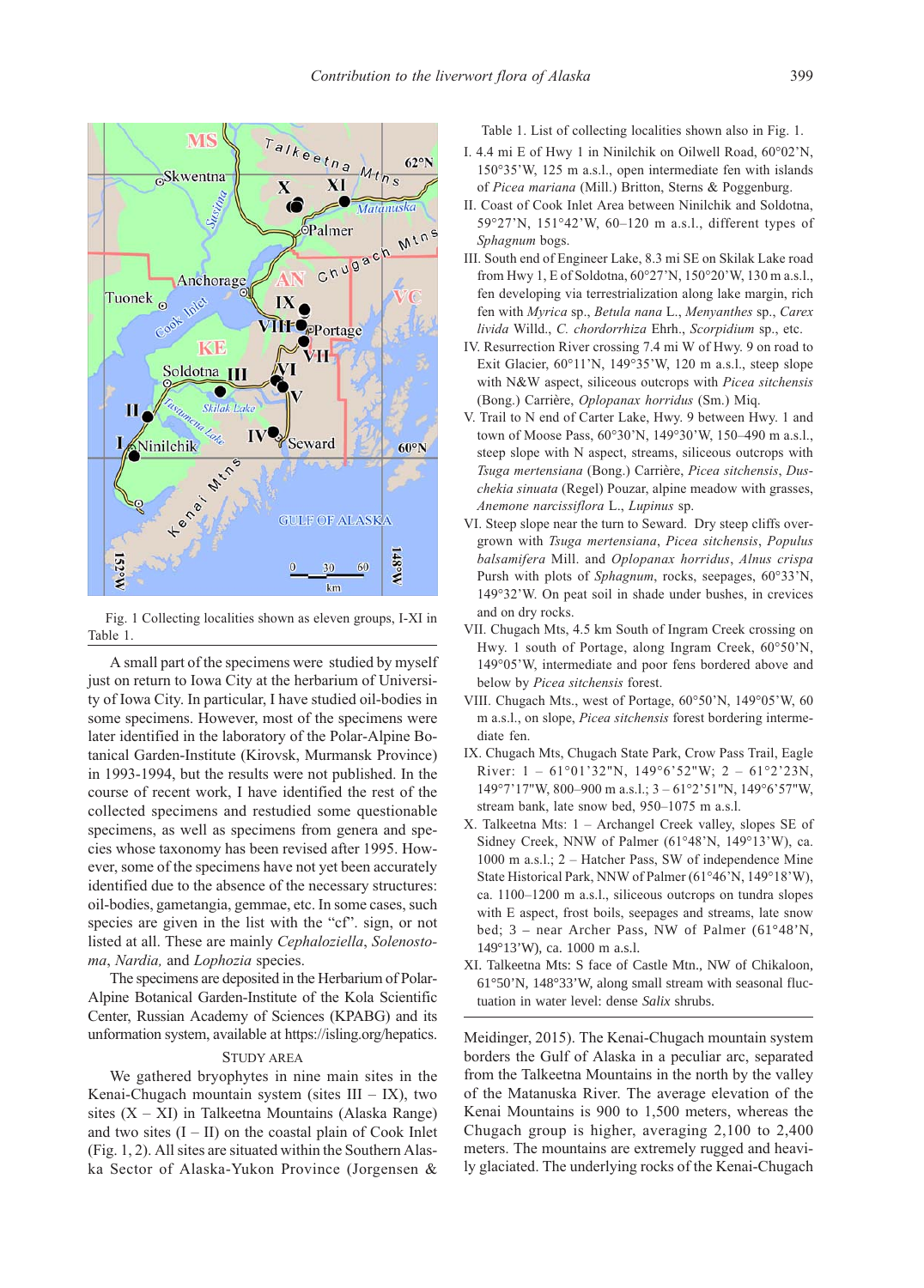

Fig. 1 Collecting localities shown as eleven groups, I-XI in Table 1.

A small part of the specimens were studied by myself just on return to Iowa City at the herbarium of University of Iowa City. In particular, I have studied oil-bodies in some specimens. However, most of the specimens were later identified in the laboratory of the Polar-Alpine Botanical Garden-Institute (Kirovsk, Murmansk Province) in 1993-1994, but the results were not published. In the course of recent work, I have identified the rest of the collected specimens and restudied some questionable specimens, as well as specimens from genera and species whose taxonomy has been revised after 1995. However, some of the specimens have not yet been accurately identified due to the absence of the necessary structures: oil-bodies, gametangia, gemmae, etc. In some cases, such species are given in the list with the "cf", sign, or not listed at all. These are mainly Cephaloziella, Solenostoma, Nardia, and Lophozia species.

The specimens are deposited in the Herbarium of Polar-Alpine Botanical Garden-Institute of the Kola Scientific Center, Russian Academy of Sciences (KPABG) and its unformation system, available at https://isling.org/hepatics.

### STUDY AREA

We gathered bryophytes in nine main sites in the Kenai-Chugach mountain system (sites  $III - IX$ ), two sites  $(X - XI)$  in Talkeetna Mountains (Alaska Range) and two sites  $(I - II)$  on the coastal plain of Cook Inlet (Fig. 1, 2). All sites are situated within the Southern Alaska Sector of Alaska-Yukon Province (Jorgensen & Table 1. List of collecting localities shown also in Fig. 1.

- I. 4.4 mi E of Hwy 1 in Ninilchik on Oilwell Road, 60°02'N, 150°35'W, 125 m a.s.l., open intermediate fen with islands of Picea mariana (Mill.) Britton, Sterns & Poggenburg.
- II. Coast of Cook Inlet Area between Ninilchik and Soldotna, 59°27'N, 151°42'W, 60–120 m a.s.l., different types of Sphagnum bogs.
- III. South end of Engineer Lake, 8.3 mi SE on Skilak Lake road from Hwy 1, E of Soldotna, 60°27'N, 150°20'W, 130 m a.s.l., fen developing via terrestrialization along lake margin, rich fen with Myrica sp., Betula nana L., Menyanthes sp., Carex livida Willd., C. chordorrhiza Ehrh., Scorpidium sp., etc.
- IV. Resurrection River crossing 7.4 mi W of Hwy. 9 on road to Exit Glacier, 60°11'N, 149°35'W, 120 m a.s.l., steep slope with N&W aspect, siliceous outcrops with Picea sitchensis (Bong.) Carrière, Oplopanax horridus (Sm.) Miq.
- V. Trail to N end of Carter Lake, Hwy. 9 between Hwy. 1 and town of Moose Pass, 60°30'N, 149°30'W, 150–490 m a.s.l., steep slope with N aspect, streams, siliceous outcrops with Tsuga mertensiana (Bong.) Carrière, Picea sitchensis, Duschekia sinuata (Regel) Pouzar, alpine meadow with grasses, Anemone narcissiflora L., Lupinus sp.
- VI. Steep slope near the turn to Seward. Dry steep cliffs overgrown with Tsuga mertensiana, Picea sitchensis, Populus balsamifera Mill. and Oplopanax horridus, Alnus crispa Pursh with plots of Sphagnum, rocks, seepages, 60°33'N, 149°32'W. On peat soil in shade under bushes, in crevices and on dry rocks.
- VII. Chugach Mts, 4.5 km South of Ingram Creek crossing on Hwy. 1 south of Portage, along Ingram Creek, 60°50'N, 149°05'W, intermediate and poor fens bordered above and below by Picea sitchensis forest.
- VIII. Chugach Mts., west of Portage, 60°50'N, 149°05'W, 60 m a.s.l., on slope, Picea sitchensis forest bordering intermediate fen.
- IX. Chugach Mts, Chugach State Park, Crow Pass Trail, Eagle River:  $1 - 61^{\circ}01'32''N$ ,  $149^{\circ}6'52''W$ ;  $2 - 61^{\circ}2'23N$ , 149°7'17"W, 800–900 m a.s.l.; 3 – 61°2'51"N, 149°6'57"W, stream bank, late snow bed, 950–1075 m a.s.l.
- X. Talkeetna Mts: 1 Archangel Creek valley, slopes SE of Sidney Creek, NNW of Palmer (61°48'N, 149°13'W), ca. 1000 m a.s.l.; 2 – Hatcher Pass, SW of independence Mine State Historical Park, NNW of Palmer (61°46'N, 149°18'W), ca. 1100–1200 m a.s.l., siliceous outcrops on tundra slopes with E aspect, frost boils, seepages and streams, late snow bed; 3 – near Archer Pass, NW of Palmer (61°48'N, 149°13'W), ca. 1000 m a.s.l.
- XI. Talkeetna Mts: S face of Castle Mtn., NW of Chikaloon, 61°50'N, 148°33'W, along small stream with seasonal fluctuation in water level: dense *Salix* shrubs.

Meidinger, 2015). The Kenai-Chugach mountain system borders the Gulf of Alaska in a peculiar arc, separated from the Talkeetna Mountains in the north by the valley of the Matanuska River. The average elevation of the Kenai Mountains is 900 to 1,500 meters, whereas the Chugach group is higher, averaging 2,100 to 2,400 meters. The mountains are extremely rugged and heavily glaciated. The underlying rocks of the Kenai-Chugach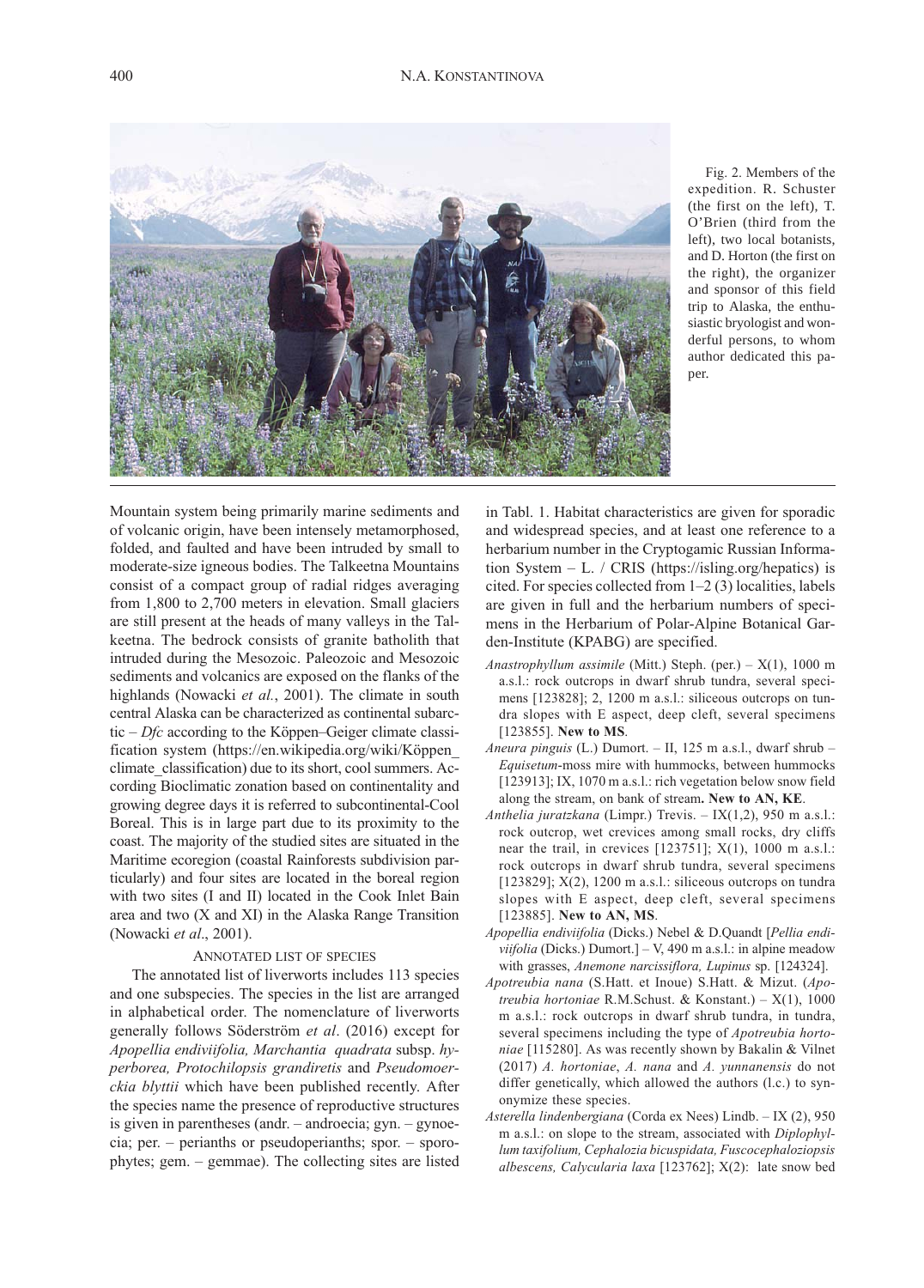

Fig. 2. Members of the expedition. R. Schuster (the first on the left), T. O'Brien (third from the left), two local botanists, and D. Horton (the first on the right), the organizer and sponsor of this field trip to Alaska, the enthusiastic bryologist and wonderful persons, to whom author dedicated this paper.

Mountain system being primarily marine sediments and of volcanic origin, have been intensely metamorphosed, folded, and faulted and have been intruded by small to moderate-size igneous bodies. The Talkeetna Mountains consist of a compact group of radial ridges averaging from 1,800 to 2,700 meters in elevation. Small glaciers are still present at the heads of many valleys in the Talkeetna. The bedrock consists of granite batholith that intruded during the Mesozoic. Paleozoic and Mesozoic sediments and volcanics are exposed on the flanks of the highlands (Nowacki et al., 2001). The climate in south central Alaska can be characterized as continental subarctic  $-Dfc$  according to the Köppen–Geiger climate classification system (https://en.wikipedia.org/wiki/Köppen\_ climate\_classification) due to its short, cool summers. According Bioclimatic zonation based on continentality and growing degree days it is referred to subcontinental-Cool Boreal. This is in large part due to its proximity to the coast. The majority of the studied sites are situated in the Maritime ecoregion (coastal Rainforests subdivision particularly) and four sites are located in the boreal region with two sites (I and II) located in the Cook Inlet Bain area and two (X and XI) in the Alaska Range Transition (Nowacki et al., 2001).

#### ANNOTATED LIST OF SPECIES

The annotated list of liverworts includes 113 species and one subspecies. The species in the list are arranged in alphabetical order. The nomenclature of liverworts generally follows Söderström et al. (2016) except for Apopellia endiviifolia, Marchantia quadrata subsp. hyperborea, Protochilopsis grandiretis and Pseudomoerckia blyttii which have been published recently. After the species name the presence of reproductive structures is given in parentheses (andr. – androecia; gyn. – gynoecia; per. – perianths or pseudoperianths; spor. – sporophytes; gem. – gemmae). The collecting sites are listed

in Tabl. 1. Habitat characteristics are given for sporadic and widespread species, and at least one reference to a herbarium number in the Cryptogamic Russian Information System – L. / CRIS (https://isling.org/hepatics) is cited. For species collected from 1–2 (3) localities, labels are given in full and the herbarium numbers of specimens in the Herbarium of Polar-Alpine Botanical Garden-Institute (KPABG) are specified.

- Anastrophyllum assimile (Mitt.) Steph. (per.)  $X(1)$ , 1000 m a.s.l.: rock outcrops in dwarf shrub tundra, several specimens [123828]; 2, 1200 m a.s.l.: siliceous outcrops on tundra slopes with E aspect, deep cleft, several specimens [123855]. New to MS.
- Aneura pinguis (L.) Dumort. II, 125 m a.s.l., dwarf shrub Equisetum-moss mire with hummocks, between hummocks [123913]; IX, 1070 m a.s.l.: rich vegetation below snow field along the stream, on bank of stream. New to AN, KE.
- Anthelia juratzkana (Limpr.) Trevis. IX(1,2), 950 m a.s.l.: rock outcrop, wet crevices among small rocks, dry cliffs near the trail, in crevices  $[123751]$ ;  $X(1)$ , 1000 m a.s.l.: rock outcrops in dwarf shrub tundra, several specimens [123829];  $X(2)$ , 1200 m a.s.l.: siliceous outcrops on tundra slopes with E aspect, deep cleft, several specimens [123885]. New to AN, MS.
- Apopellia endiviifolia (Dicks.) Nebel & D.Quandt [Pellia endi*viifolia* (Dicks.) Dumort.]  $- V$ , 490 m a.s.l.: in alpine meadow with grasses, Anemone narcissiflora, Lupinus sp. [124324].
- Apotreubia nana (S.Hatt. et Inoue) S.Hatt. & Mizut. (Apotreubia hortoniae R.M.Schust. & Konstant.) –  $X(1)$ , 1000 m a.s.l.: rock outcrops in dwarf shrub tundra, in tundra, several specimens including the type of Apotreubia hortoniae [115280]. As was recently shown by Bakalin & Vilnet (2017) A. hortoniae, A. nana and A. yunnanensis do not differ genetically, which allowed the authors (l.c.) to synonymize these species.
- Asterella lindenbergiana (Corda ex Nees) Lindb. IX (2), 950 m a.s.l.: on slope to the stream, associated with Diplophyllum taxifolium, Cephalozia bicuspidata, Fuscocephaloziopsis albescens, Calycularia laxa [123762]; X(2): late snow bed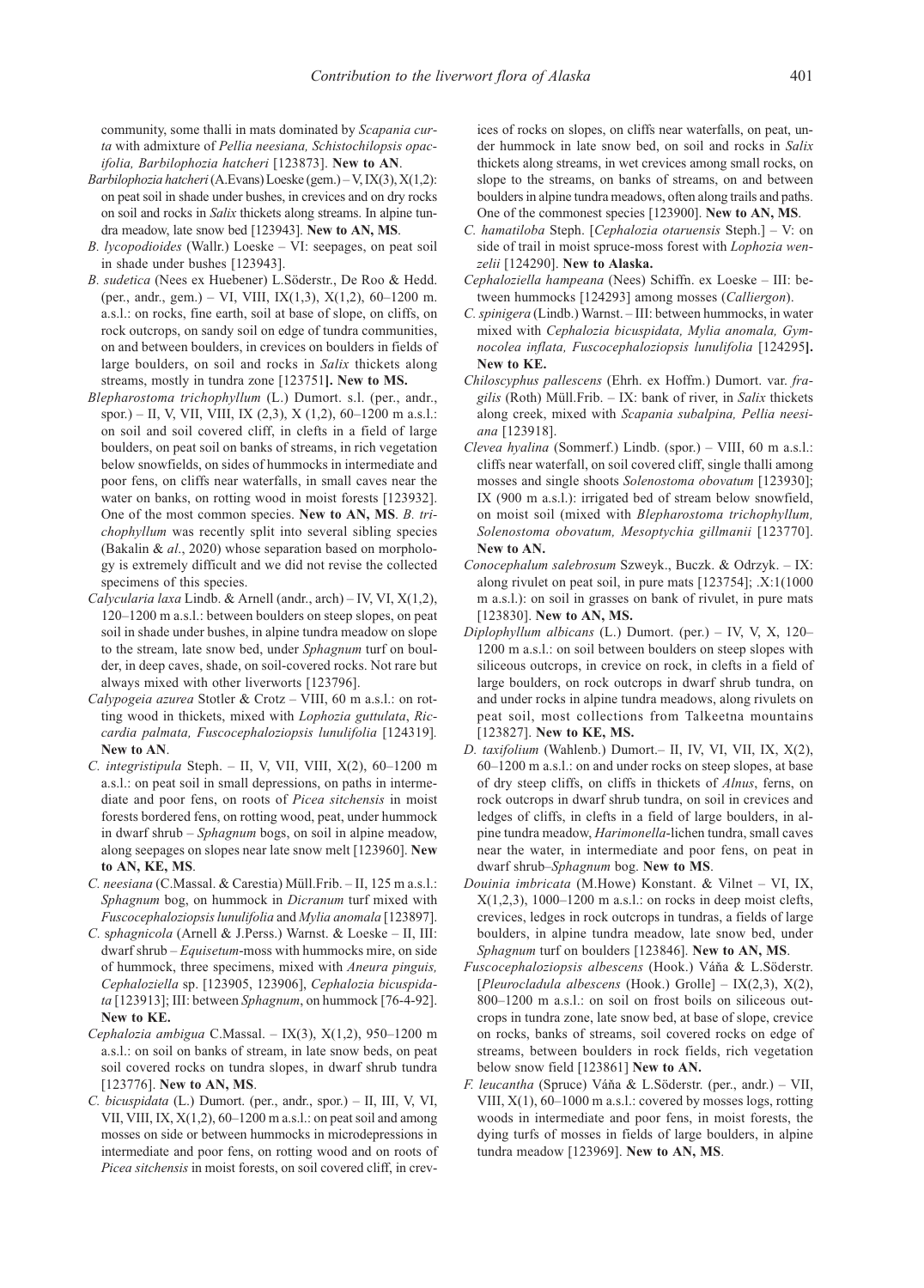community, some thalli in mats dominated by Scapania curta with admixture of Pellia neesiana, Schistochilopsis opacifolia, Barbilophozia hatcheri [123873]. New to AN.

- Barbilophozia hatcheri (A.Evans) Loeske (gem.) V, IX(3), X(1,2): on peat soil in shade under bushes, in crevices and on dry rocks on soil and rocks in Salix thickets along streams. In alpine tundra meadow, late snow bed [123943]. New to AN, MS.
- B. lycopodioides (Wallr.) Loeske VI: seepages, on peat soil in shade under bushes [123943].
- B. sudetica (Nees ex Huebener) L.Söderstr., De Roo & Hedd. (per., andr., gem.) – VI, VIII, IX(1,3), X(1,2), 60–1200 m. a.s.l.: on rocks, fine earth, soil at base of slope, on cliffs, on rock outcrops, on sandy soil on edge of tundra communities, on and between boulders, in crevices on boulders in fields of large boulders, on soil and rocks in Salix thickets along streams, mostly in tundra zone [123751]. New to MS.
- Blepharostoma trichophyllum (L.) Dumort. s.l. (per., andr., spor.) – II, V, VII, VIII, IX (2,3), X (1,2), 60–1200 m a.s.l.: on soil and soil covered cliff, in clefts in a field of large boulders, on peat soil on banks of streams, in rich vegetation below snowfields, on sides of hummocks in intermediate and poor fens, on cliffs near waterfalls, in small caves near the water on banks, on rotting wood in moist forests [123932]. One of the most common species. New to AN, MS. B. trichophyllum was recently split into several sibling species (Bakalin & al., 2020) whose separation based on morphology is extremely difficult and we did not revise the collected specimens of this species.
- Calycularia laxa Lindb. & Arnell (andr., arch) IV, VI, X(1,2), 120–1200 m a.s.l.: between boulders on steep slopes, on peat soil in shade under bushes, in alpine tundra meadow on slope to the stream, late snow bed, under Sphagnum turf on boulder, in deep caves, shade, on soil-covered rocks. Not rare but always mixed with other liverworts [123796].
- Calypogeia azurea Stotler & Crotz VIII, 60 m a.s.l.: on rotting wood in thickets, mixed with Lophozia guttulata, Riccardia palmata, Fuscocephaloziopsis lunulifolia [124319]. New to AN.
- C. integristipula Steph. II, V, VII, VIII, X(2), 60–1200 m a.s.l.: on peat soil in small depressions, on paths in intermediate and poor fens, on roots of Picea sitchensis in moist forests bordered fens, on rotting wood, peat, under hummock in dwarf shrub – Sphagnum bogs, on soil in alpine meadow, along seepages on slopes near late snow melt [123960]. New to AN, KE, MS.
- C. neesiana (C.Massal. & Carestia) Müll.Frib. II, 125 m a.s.l.: Sphagnum bog, on hummock in Dicranum turf mixed with Fuscocephaloziopsis lunulifolia and Mylia anomala [123897].
- C. sphagnicola (Arnell & J.Perss.) Warnst. & Loeske II, III: dwarf shrub  $-Equise$ tum-moss with hummocks mire, on side of hummock, three specimens, mixed with Aneura pinguis, Cephaloziella sp. [123905, 123906], Cephalozia bicuspidata [123913]; III: between Sphagnum, on hummock [76-4-92]. New to KE.
- Cephalozia ambigua C.Massal. IX(3), X(1,2), 950–1200 m a.s.l.: on soil on banks of stream, in late snow beds, on peat soil covered rocks on tundra slopes, in dwarf shrub tundra [123776]. New to AN, MS.
- C. bicuspidata (L.) Dumort. (per., andr., spor.) II, III, V, VI, VII, VIII, IX,  $X(1,2)$ , 60-1200 m a.s.l.: on peat soil and among mosses on side or between hummocks in microdepressions in intermediate and poor fens, on rotting wood and on roots of Picea sitchensis in moist forests, on soil covered cliff, in crev-

ices of rocks on slopes, on cliffs near waterfalls, on peat, under hummock in late snow bed, on soil and rocks in Salix thickets along streams, in wet crevices among small rocks, on slope to the streams, on banks of streams, on and between boulders in alpine tundra meadows, often along trails and paths. One of the commonest species [123900]. New to AN, MS.

- C. hamatiloba Steph. [Cephalozia otaruensis Steph.] V: on side of trail in moist spruce-moss forest with Lophozia wenzelii [124290]. New to Alaska.
- Cephaloziella hampeana (Nees) Schiffn. ex Loeske III: between hummocks [124293] among mosses (Calliergon).
- C.spinigera (Lindb.) Warnst. III: between hummocks, in water mixed with Cephalozia bicuspidata, Mylia anomala, Gymnocolea inflata, Fuscocephaloziopsis lunulifolia [124295]. New to KE.
- Chiloscyphus pallescens (Ehrh. ex Hoffm.) Dumort. var. fragilis (Roth) Müll.Frib.  $-$  IX: bank of river, in Salix thickets along creek, mixed with Scapania subalpina, Pellia neesiana [123918].
- Clevea hyalina (Sommerf.) Lindb. (spor.) VIII, 60 m a.s.l.: cliffs near waterfall, on soil covered cliff, single thalli among mosses and single shoots Solenostoma obovatum [123930]; IX (900 m a.s.l.): irrigated bed of stream below snowfield, on moist soil (mixed with Blepharostoma trichophyllum, Solenostoma obovatum, Mesoptychia gillmanii [123770]. New to AN.
- Conocephalum salebrosum Szweyk., Buczk. & Odrzyk. IX: along rivulet on peat soil, in pure mats [123754]; .X:1(1000 m a.s.l.): on soil in grasses on bank of rivulet, in pure mats [123830]. New to AN, MS.
- Diplophyllum albicans (L.) Dumort. (per.) IV, V, X, 120– 1200 m a.s.l.: on soil between boulders on steep slopes with siliceous outcrops, in crevice on rock, in clefts in a field of large boulders, on rock outcrops in dwarf shrub tundra, on and under rocks in alpine tundra meadows, along rivulets on peat soil, most collections from Talkeetna mountains [123827]. New to KE, MS.
- D. taxifolium (Wahlenb.) Dumort.– II, IV, VI, VII, IX, X(2), 60–1200 m a.s.l.: on and under rocks on steep slopes, at base of dry steep cliffs, on cliffs in thickets of Alnus, ferns, on rock outcrops in dwarf shrub tundra, on soil in crevices and ledges of cliffs, in clefts in a field of large boulders, in alpine tundra meadow, Harimonella-lichen tundra, small caves near the water, in intermediate and poor fens, on peat in dwarf shrub–Sphagnum bog. New to MS.
- Douinia imbricata (M.Howe) Konstant. & Vilnet VI, IX,  $X(1,2,3)$ , 1000–1200 m a.s.l.: on rocks in deep moist clefts, crevices, ledges in rock outcrops in tundras, a fields of large boulders, in alpine tundra meadow, late snow bed, under Sphagnum turf on boulders [123846]. New to AN, MS.
- Fuscocephaloziopsis albescens (Hook.) Váňa & L.Söderstr. [Pleurocladula albescens (Hook.) Grolle]  $-$  IX(2,3), X(2), 800–1200 m a.s.l.: on soil on frost boils on siliceous outcrops in tundra zone, late snow bed, at base of slope, crevice on rocks, banks of streams, soil covered rocks on edge of streams, between boulders in rock fields, rich vegetation below snow field [123861] New to AN.
- F. leucantha (Spruce) Váňa & L.Söderstr. (per., andr.) VII, VIII, X(1), 60–1000 m a.s.l.: covered by mosses logs, rotting woods in intermediate and poor fens, in moist forests, the dying turfs of mosses in fields of large boulders, in alpine tundra meadow [123969]. New to AN, MS.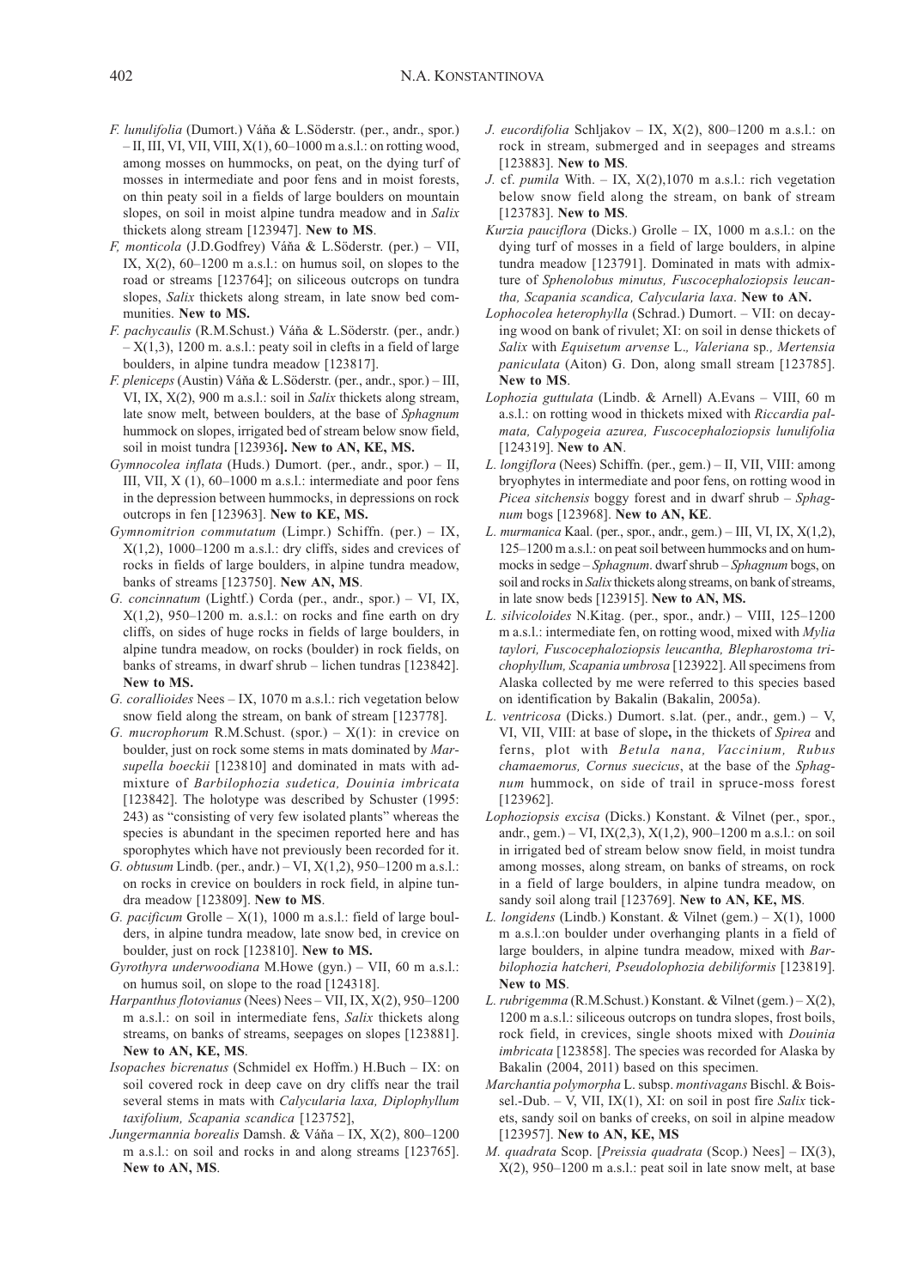- F. lunulifolia (Dumort.) Váňa & L.Söderstr. (per., andr., spor.)  $-$  II, III, VI, VII, VIII,  $X(1)$ , 60–1000 m a.s.l.: on rotting wood, among mosses on hummocks, on peat, on the dying turf of mosses in intermediate and poor fens and in moist forests, on thin peaty soil in a fields of large boulders on mountain slopes, on soil in moist alpine tundra meadow and in Salix thickets along stream [123947]. New to MS.
- F, monticola (J.D.Godfrey) Váňa & L.Söderstr. (per.) VII, IX,  $X(2)$ ,  $60-1200$  m a.s.l.: on humus soil, on slopes to the road or streams [123764]; on siliceous outcrops on tundra slopes, Salix thickets along stream, in late snow bed communities. New to MS.
- F. pachycaulis (R.M.Schust.) Váňa & L.Söderstr. (per., andr.)  $- X(1,3)$ , 1200 m. a.s.l.: peaty soil in clefts in a field of large boulders, in alpine tundra meadow [123817].
- F. pleniceps (Austin) Váňa & L.Söderstr. (per., andr., spor.) III, VI, IX, X(2), 900 m a.s.l.: soil in Salix thickets along stream, late snow melt, between boulders, at the base of Sphagnum hummock on slopes, irrigated bed of stream below snow field, soil in moist tundra [123936]. New to AN, KE, MS.
- Gymnocolea inflata (Huds.) Dumort. (per., andr., spor.) II, III, VII, X (1), 60–1000 m a.s.l.: intermediate and poor fens in the depression between hummocks, in depressions on rock outcrops in fen [123963]. New to KE, MS.
- Gymnomitrion commutatum (Limpr.) Schiffn. (per.) IX,  $X(1,2)$ , 1000–1200 m a.s.l.: dry cliffs, sides and crevices of rocks in fields of large boulders, in alpine tundra meadow, banks of streams [123750]. New AN, MS.
- G. concinnatum (Lightf.) Corda (per., andr., spor.) VI, IX,  $X(1,2)$ , 950–1200 m. a.s.l.: on rocks and fine earth on dry cliffs, on sides of huge rocks in fields of large boulders, in alpine tundra meadow, on rocks (boulder) in rock fields, on banks of streams, in dwarf shrub – lichen tundras [123842]. New to MS.
- G. corallioides Nees IX, 1070 m a.s.l.: rich vegetation below snow field along the stream, on bank of stream [123778].
- G. mucrophorum R.M.Schust. (spor.)  $X(1)$ : in crevice on boulder, just on rock some stems in mats dominated by Marsupella boeckii [123810] and dominated in mats with admixture of Barbilophozia sudetica, Douinia imbricata [123842]. The holotype was described by Schuster (1995: 243) as "consisting of very few isolated plants" whereas the species is abundant in the specimen reported here and has sporophytes which have not previously been recorded for it.
- G. obtusum Lindb. (per., andr.) VI,  $X(1,2)$ , 950–1200 m a.s.l.: on rocks in crevice on boulders in rock field, in alpine tundra meadow [123809]. New to MS.
- G. pacificum Grolle  $X(1)$ , 1000 m a.s.l.: field of large boulders, in alpine tundra meadow, late snow bed, in crevice on boulder, just on rock [123810]. New to MS.
- Gyrothyra underwoodiana M.Howe (gyn.) VII, 60 m a.s.l.: on humus soil, on slope to the road [124318].
- Harpanthus flotovianus (Nees) Nees VII, IX, X(2), 950–1200 m a.s.l.: on soil in intermediate fens, Salix thickets along streams, on banks of streams, seepages on slopes [123881]. New to AN, KE, MS.
- Isopaches bicrenatus (Schmidel ex Hoffm.) H.Buch IX: on soil covered rock in deep cave on dry cliffs near the trail several stems in mats with Calycularia laxa, Diplophyllum taxifolium, Scapania scandica [123752],
- Jungermannia borealis Damsh. & Váňa IX, X(2), 800–1200 m a.s.l.: on soil and rocks in and along streams [123765]. New to AN, MS.
- J. eucordifolia Schljakov IX, X(2), 800–1200 m a.s.l.: on rock in stream, submerged and in seepages and streams [123883]. New to MS.
- J. cf. pumila With. IX,  $X(2)$ , 1070 m a.s.l.: rich vegetation below snow field along the stream, on bank of stream [123783]. New to MS.
- Kurzia pauciflora (Dicks.) Grolle  $-$  IX, 1000 m a.s.l.: on the dying turf of mosses in a field of large boulders, in alpine tundra meadow [123791]. Dominated in mats with admixture of Sphenolobus minutus, Fuscocephaloziopsis leucantha, Scapania scandica, Calycularia laxa. New to AN.
- Lophocolea heterophylla (Schrad.) Dumort. VII: on decaying wood on bank of rivulet; XI: on soil in dense thickets of Salix with Equisetum arvense L., Valeriana sp., Mertensia paniculata (Aiton) G. Don, along small stream [123785]. New to MS.
- Lophozia guttulata (Lindb. & Arnell) A.Evans VIII, 60 m a.s.l.: on rotting wood in thickets mixed with Riccardia palmata, Calypogeia azurea, Fuscocephaloziopsis lunulifolia [124319]. New to AN.
- L. longiflora (Nees) Schiffn. (per., gem.) II, VII, VIII: among bryophytes in intermediate and poor fens, on rotting wood in Picea sitchensis boggy forest and in dwarf shrub – Sphagnum bogs [123968]. New to AN, KE.
- L. murmanica Kaal. (per., spor., andr., gem.) III, VI, IX,  $X(1,2)$ , 125–1200 m a.s.l.: on peat soil between hummocks and on hummocks in sedge – Sphagnum. dwarf shrub – Sphagnum bogs, on soil and rocks in Salix thickets along streams, on bank of streams, in late snow beds [123915]. New to AN, MS.
- L. silvicoloides N.Kitag. (per., spor., andr.) VIII, 125–1200 m a.s.l.: intermediate fen, on rotting wood, mixed with Mylia taylori, Fuscocephaloziopsis leucantha, Blepharostoma trichophyllum, Scapania umbrosa [123922]. All specimens from Alaska collected by me were referred to this species based on identification by Bakalin (Bakalin, 2005a).
- L. ventricosa (Dicks.) Dumort. s.lat. (per., andr., gem.) V, VI, VII, VIII: at base of slope, in the thickets of Spirea and ferns, plot with Betula nana, Vaccinium, Rubus chamaemorus, Cornus suecicus, at the base of the Sphagnum hummock, on side of trail in spruce-moss forest [123962].
- Lophoziopsis excisa (Dicks.) Konstant. & Vilnet (per., spor., andr., gem.) – VI, IX(2,3), X(1,2), 900–1200 m a.s.l.: on soil in irrigated bed of stream below snow field, in moist tundra among mosses, along stream, on banks of streams, on rock in a field of large boulders, in alpine tundra meadow, on sandy soil along trail [123769]. New to AN, KE, MS.
- L. longidens (Lindb.) Konstant. & Vilnet (gem.)  $X(1)$ , 1000 m a.s.l.:on boulder under overhanging plants in a field of large boulders, in alpine tundra meadow, mixed with Barbilophozia hatcheri, Pseudolophozia debiliformis [123819]. New to MS.
- L. rubrigemma (R.M.Schust.) Konstant. & Vilnet (gem.) X(2), 1200 m a.s.l.: siliceous outcrops on tundra slopes, frost boils, rock field, in crevices, single shoots mixed with Douinia imbricata [123858]. The species was recorded for Alaska by Bakalin (2004, 2011) based on this specimen.
- Marchantia polymorpha L. subsp. montivagans Bischl. & Boissel.-Dub. – V, VII, IX(1), XI: on soil in post fire Salix tickets, sandy soil on banks of creeks, on soil in alpine meadow [123957]. New to AN, KE, MS
- M. quadrata Scop. [Preissia quadrata (Scop.) Nees]  $-$  IX(3), X(2), 950–1200 m a.s.l.: peat soil in late snow melt, at base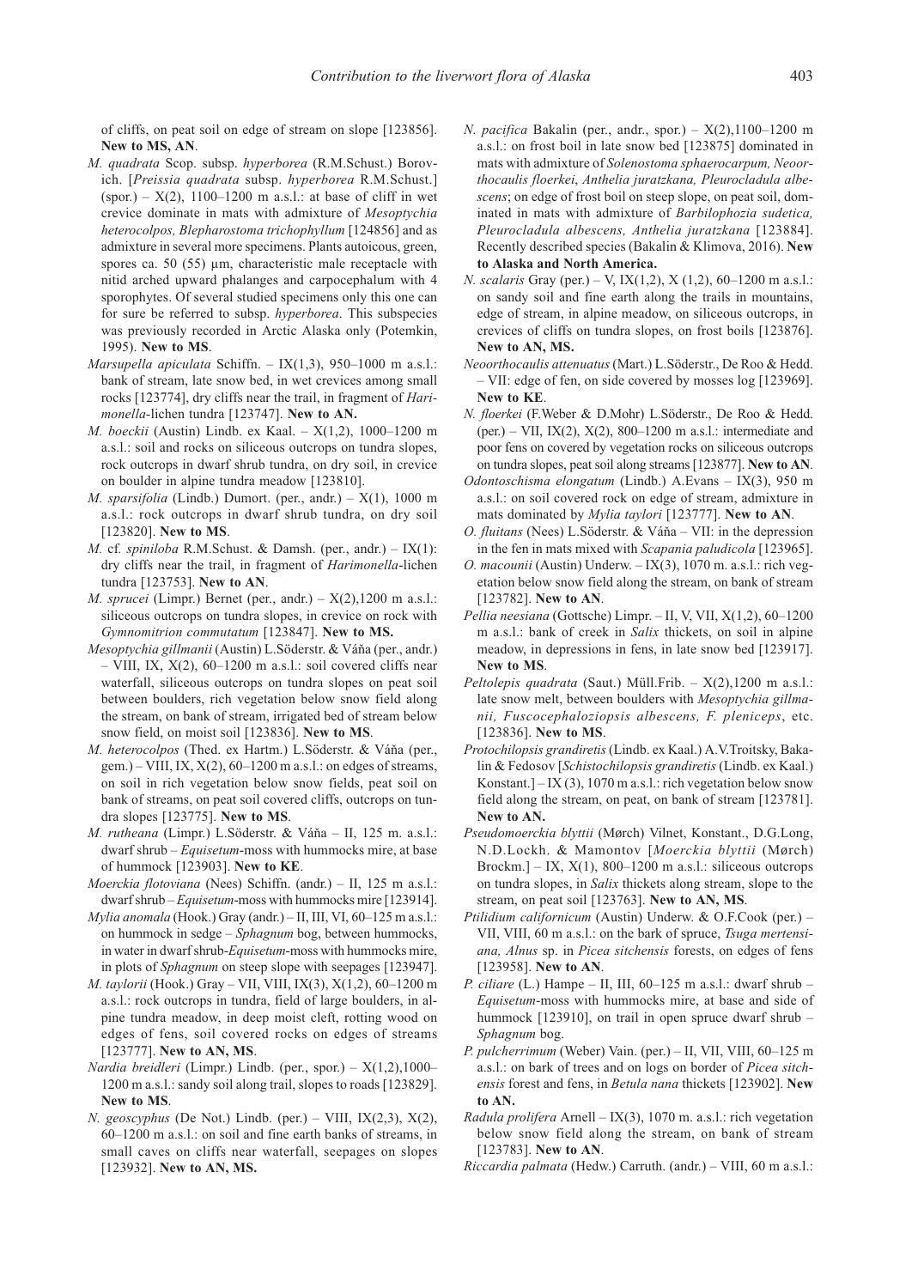of cliffs, on peat soil on edge of stream on slope [123856]. New to MS, AN.

- M. quadrata Scop. subsp. hyperborea (R.M.Schust.) Borovich. [Preissia quadrata subsp. hyperborea R.M.Schust.] (spor.) –  $X(2)$ , 1100–1200 m a.s.l.: at base of cliff in wet crevice dominate in mats with admixture of Mesoptychia heterocolpos, Blepharostoma trichophyllum [124856] and as admixture in several more specimens. Plants autoicous, green, spores ca. 50 (55)  $\mu$ m, characteristic male receptacle with nitid arched upward phalanges and carpocephalum with 4 sporophytes. Of several studied specimens only this one can for sure be referred to subsp. hyperborea. This subspecies was previously recorded in Arctic Alaska only (Potemkin, 1995). New to MS.
- Marsupella apiculata Schiffn. IX $(1,3)$ , 950–1000 m a.s.l.: bank of stream, late snow bed, in wet crevices among small rocks [123774], dry cliffs near the trail, in fragment of Harimonella-lichen tundra [123747]. New to AN.
- M. boeckii (Austin) Lindb. ex Kaal. X(1,2), 1000–1200 m a.s.l.: soil and rocks on siliceous outcrops on tundra slopes, rock outcrops in dwarf shrub tundra, on dry soil, in crevice on boulder in alpine tundra meadow [123810].
- M. sparsifolia (Lindb.) Dumort. (per., andr.)  $X(1)$ , 1000 m a.s.l.: rock outcrops in dwarf shrub tundra, on dry soil [123820]. New to MS.
- M. cf. spiniloba R.M.Schust. & Damsh. (per., andr.)  $IX(1)$ : dry cliffs near the trail, in fragment of Harimonella-lichen tundra [123753]. New to AN.
- *M. sprucei* (Limpr.) Bernet (per., andr.)  $X(2)$ , 1200 m a.s.l.: siliceous outcrops on tundra slopes, in crevice on rock with Gymnomitrion commutatum [123847]. New to MS.
- Mesoptychia gillmanii (Austin) L.Söderstr. & Váňa (per., andr.)  $-$  VIII, IX,  $X(2)$ , 60–1200 m a.s.l.: soil covered cliffs near waterfall, siliceous outcrops on tundra slopes on peat soil between boulders, rich vegetation below snow field along the stream, on bank of stream, irrigated bed of stream below snow field, on moist soil [123836]. New to MS.
- M. heterocolpos (Thed. ex Hartm.) L.Söderstr. & Váňa (per., gem.) – VIII, IX,  $X(2)$ , 60–1200 m a.s.l.: on edges of streams, on soil in rich vegetation below snow fields, peat soil on bank of streams, on peat soil covered cliffs, outcrops on tundra slopes [123775]. New to MS.
- M. rutheana (Limpr.) L.Söderstr. & Váňa II, 125 m. a.s.l.: dwarf shrub – Equisetum-moss with hummocks mire, at base of hummock [123903]. New to KE.
- Moerckia flotoviana (Nees) Schiffn. (andr.) II, 125 m a.s.l.: dwarf shrub – Equisetum-moss with hummocks mire [123914].
- $Mylia anomala$  (Hook.) Gray (andr.) II, III, VI, 60–125 m a.s.l.: on hummock in sedge – Sphagnum bog, between hummocks, in water in dwarf shrub-Equisetum-moss with hummocks mire, in plots of Sphagnum on steep slope with seepages [123947].
- M. taylorii (Hook.) Gray VII, VIII, IX(3), X(1,2), 60–1200 m a.s.l.: rock outcrops in tundra, field of large boulders, in alpine tundra meadow, in deep moist cleft, rotting wood on edges of fens, soil covered rocks on edges of streams [123777]. New to AN, MS.
- Nardia breidleri (Limpr.) Lindb. (per., spor.)  $X(1,2),1000-$ 1200 m a.s.l.: sandy soil along trail, slopes to roads [123829]. New to MS.
- N. geoscyphus (De Not.) Lindb. (per.) VIII, IX(2,3), X(2), 60–1200 m a.s.l.: on soil and fine earth banks of streams, in small caves on cliffs near waterfall, seepages on slopes [123932]. New to AN, MS.
- N. pacifica Bakalin (per., andr., spor.)  $X(2)$ ,1100–1200 m a.s.l.: on frost boil in late snow bed [123875] dominated in mats with admixture of Solenostoma sphaerocarpum, Neoorthocaulis floerkei, Anthelia juratzkana, Pleurocladula albescens; on edge of frost boil on steep slope, on peat soil, dominated in mats with admixture of Barbilophozia sudetica, Pleurocladula albescens, Anthelia juratzkana [123884]. Recently described species (Bakalin & Klimova, 2016). New to Alaska and North America.
- N. scalaris Gray (per.) V, IX(1,2), X (1,2), 60–1200 m a.s.l.: on sandy soil and fine earth along the trails in mountains, edge of stream, in alpine meadow, on siliceous outcrops, in crevices of cliffs on tundra slopes, on frost boils [123876]. New to AN, MS.
- Neoorthocaulis attenuatus (Mart.) L.Söderstr., De Roo & Hedd. – VII: edge of fen, on side covered by mosses log [123969]. New to KE.
- N. floerkei (F.Weber & D.Mohr) L.Söderstr., De Roo & Hedd. (per.) – VII, IX(2), X(2), 800–1200 m a.s.l.: intermediate and poor fens on covered by vegetation rocks on siliceous outcrops on tundra slopes, peat soil along streams [123877]. New to AN.
- Odontoschisma elongatum (Lindb.) A.Evans IX(3), 950 m a.s.l.: on soil covered rock on edge of stream, admixture in mats dominated by Mylia taylori [123777]. New to AN.
- O. fluitans (Nees) L.Söderstr. & Váňa VII: in the depression in the fen in mats mixed with Scapania paludicola [123965].
- O. macounii (Austin) Underw. IX(3), 1070 m. a.s.l.: rich vegetation below snow field along the stream, on bank of stream [123782]. New to AN.
- Pellia neesiana (Gottsche) Limpr. II, V, VII, X(1,2), 60–1200 m a.s.l.: bank of creek in Salix thickets, on soil in alpine meadow, in depressions in fens, in late snow bed [123917]. New to MS.
- Peltolepis quadrata (Saut.) Müll.Frib.  $X(2)$ ,1200 m a.s.l.: late snow melt, between boulders with Mesoptychia gillmanii, Fuscocephaloziopsis albescens, F. pleniceps, etc. [123836]. New to MS.
- Protochilopsis grandiretis (Lindb. ex Kaal.) A.V.Troitsky, Bakalin & Fedosov [Schistochilopsis grandiretis (Lindb. ex Kaal.) Konstant.]  $-$  IX (3), 1070 m a.s.l.: rich vegetation below snow field along the stream, on peat, on bank of stream [123781]. New to AN.
- Pseudomoerckia blyttii (Mørch) Vilnet, Konstant., D.G.Long, N.D.Lockh. & Mamontov [Moerckia blyttii (Mørch) Brockm.] – IX,  $X(1)$ , 800–1200 m a.s.l.: siliceous outcrops on tundra slopes, in Salix thickets along stream, slope to the stream, on peat soil [123763]. New to AN, MS.
- Ptilidium californicum (Austin) Underw. & O.F.Cook (per.) VII, VIII, 60 m a.s.l.: on the bark of spruce, Tsuga mertensiana, Alnus sp. in Picea sitchensis forests, on edges of fens [123958]. New to AN.
- P. ciliare (L.) Hampe II, III, 60–125 m a.s.l.: dwarf shrub Equisetum-moss with hummocks mire, at base and side of hummock [123910], on trail in open spruce dwarf shrub – Sphagnum bog.
- P. pulcherrimum (Weber) Vain. (per.) II, VII, VIII, 60–125 m a.s.l.: on bark of trees and on logs on border of Picea sitchensis forest and fens, in Betula nana thickets [123902]. New to AN.
- Radula prolifera Arnell IX(3), 1070 m. a.s.l.: rich vegetation below snow field along the stream, on bank of stream [123783]. New to AN.
- Riccardia palmata (Hedw.) Carruth. (andr.) VIII, 60 m a.s.l.: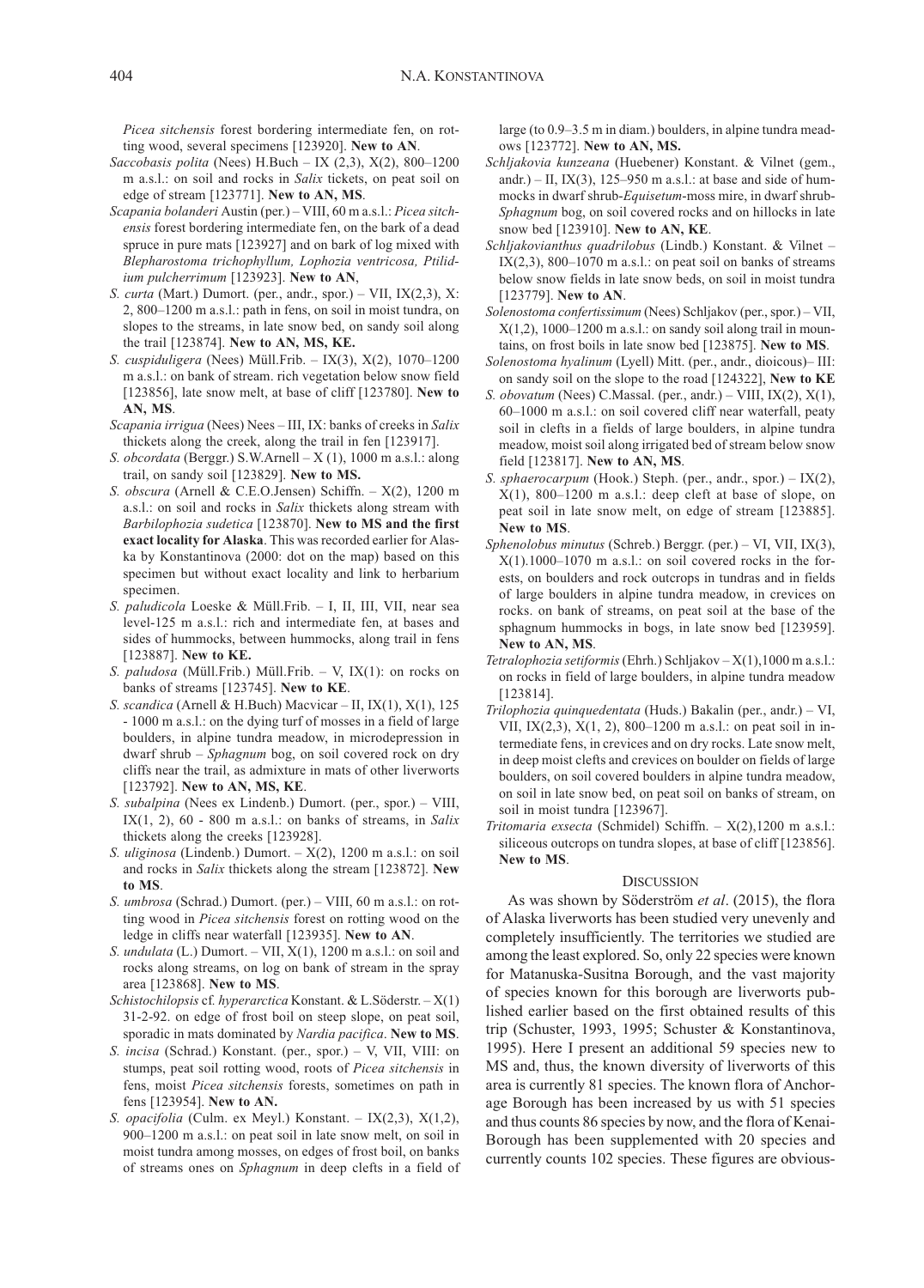Picea sitchensis forest bordering intermediate fen, on rotting wood, several specimens [123920]. New to AN.

- Saccobasis polita (Nees) H.Buch IX  $(2,3)$ , X $(2)$ , 800–1200 m a.s.l.: on soil and rocks in Salix tickets, on peat soil on edge of stream [123771]. New to AN, MS.
- Scapania bolanderi Austin (per.) VIII, 60 m a.s.l.: Picea sitchensis forest bordering intermediate fen, on the bark of a dead spruce in pure mats [123927] and on bark of log mixed with Blepharostoma trichophyllum, Lophozia ventricosa, Ptilidium pulcherrimum [123923]. New to AN,
- S. curta (Mart.) Dumort. (per., andr., spor.) VII,  $IX(2,3)$ , X: 2, 800–1200 m a.s.l.: path in fens, on soil in moist tundra, on slopes to the streams, in late snow bed, on sandy soil along the trail [123874]. New to AN, MS, KE.
- S. cuspiduligera (Nees) Müll.Frib. IX(3), X(2), 1070–1200 m a.s.l.: on bank of stream. rich vegetation below snow field [123856], late snow melt, at base of cliff [123780]. New to AN, MS.
- Scapania irrigua (Nees) Nees III, IX: banks of creeks in Salix thickets along the creek, along the trail in fen [123917].
- S. obcordata (Berggr.) S.W.Arnell  $X(1)$ , 1000 m a.s.l.: along trail, on sandy soil [123829]. New to MS.
- S. obscura (Arnell & C.E.O.Jensen) Schiffn. X(2), 1200 m a.s.l.: on soil and rocks in Salix thickets along stream with Barbilophozia sudetica [123870]. New to MS and the first exact locality for Alaska. This was recorded earlier for Alaska by Konstantinova (2000: dot on the map) based on this specimen but without exact locality and link to herbarium specimen.
- S. paludicola Loeske & Müll.Frib. I, II, III, VII, near sea level-125 m a.s.l.: rich and intermediate fen, at bases and sides of hummocks, between hummocks, along trail in fens [123887]. New to KE.
- S. paludosa (Müll.Frib.) Müll.Frib. V, IX(1): on rocks on banks of streams [123745]. New to KE.
- S. scandica (Arnell & H.Buch) Macvicar II, IX(1), X(1), 125 - 1000 m a.s.l.: on the dying turf of mosses in a field of large boulders, in alpine tundra meadow, in microdepression in dwarf shrub – Sphagnum bog, on soil covered rock on dry cliffs near the trail, as admixture in mats of other liverworts [123792]. New to AN, MS, KE.
- S. subalpina (Nees ex Lindenb.) Dumort. (per., spor.) VIII, IX $(1, 2)$ , 60 - 800 m a.s.l.: on banks of streams, in Salix thickets along the creeks [123928].
- S. uliginosa (Lindenb.) Dumort.  $X(2)$ , 1200 m a.s.l.: on soil and rocks in *Salix* thickets along the stream [123872]. New to MS.
- S. umbrosa (Schrad.) Dumort. (per.) VIII, 60 m a.s.l.: on rotting wood in Picea sitchensis forest on rotting wood on the ledge in cliffs near waterfall [123935]. New to AN.
- S. undulata (L.) Dumort. VII, X(1), 1200 m a.s.l.: on soil and rocks along streams, on log on bank of stream in the spray area [123868]. New to MS.
- Schistochilopsis cf. hyperarctica Konstant. & L.Söderstr. X(1) 31-2-92. on edge of frost boil on steep slope, on peat soil, sporadic in mats dominated by Nardia pacifica. New to MS.
- S. *incisa* (Schrad.) Konstant. (per., spor.) V, VII, VIII: on stumps, peat soil rotting wood, roots of Picea sitchensis in fens, moist Picea sitchensis forests, sometimes on path in fens [123954]. New to AN.
- S. opacifolia (Culm. ex Meyl.) Konstant. IX(2,3), X(1,2), 900–1200 m a.s.l.: on peat soil in late snow melt, on soil in moist tundra among mosses, on edges of frost boil, on banks of streams ones on Sphagnum in deep clefts in a field of

large (to 0.9–3.5 m in diam.) boulders, in alpine tundra meadows [123772]. New to AN, MS.

- Schljakovia kunzeana (Huebener) Konstant. & Vilnet (gem., andr.) – II, IX(3), 125–950 m a.s.l.: at base and side of hummocks in dwarf shrub-Equisetum-moss mire, in dwarf shrub-Sphagnum bog, on soil covered rocks and on hillocks in late snow bed [123910]. New to AN, KE.
- Schljakovianthus quadrilobus (Lindb.) Konstant. & Vilnet IX $(2,3)$ , 800–1070 m a.s.l.: on peat soil on banks of streams below snow fields in late snow beds, on soil in moist tundra [123779]. New to AN.
- Solenostoma confertissimum (Nees) Schljakov (per., spor.) VII,  $X(1,2)$ , 1000–1200 m a.s.l.: on sandy soil along trail in mountains, on frost boils in late snow bed [123875]. New to MS.
- Solenostoma hyalinum (Lyell) Mitt. (per., andr., dioicous)– III: on sandy soil on the slope to the road [124322], New to KE
- S. obovatum (Nees) C.Massal. (per., andr.) VIII, IX(2),  $X(1)$ , 60–1000 m a.s.l.: on soil covered cliff near waterfall, peaty soil in clefts in a fields of large boulders, in alpine tundra meadow, moist soil along irrigated bed of stream below snow field [123817]. New to AN, MS.
- S. sphaerocarpum (Hook.) Steph. (per., andr., spor.) IX(2),  $X(1)$ , 800–1200 m a.s.l.: deep cleft at base of slope, on peat soil in late snow melt, on edge of stream [123885]. New to MS.
- Sphenolobus minutus (Schreb.) Berggr. (per.) VI, VII, IX(3),  $X(1)$ .1000–1070 m a.s.l.: on soil covered rocks in the forests, on boulders and rock outcrops in tundras and in fields of large boulders in alpine tundra meadow, in crevices on rocks. on bank of streams, on peat soil at the base of the sphagnum hummocks in bogs, in late snow bed [123959]. New to AN, MS.
- Tetralophozia setiformis (Ehrh.) Schljakov X(1),1000 m a.s.l.: on rocks in field of large boulders, in alpine tundra meadow [123814].
- Trilophozia quinquedentata (Huds.) Bakalin (per., andr.) VI, VII, IX(2,3), X(1, 2), 800–1200 m a.s.l.: on peat soil in intermediate fens, in crevices and on dry rocks. Late snow melt, in deep moist clefts and crevices on boulder on fields of large boulders, on soil covered boulders in alpine tundra meadow, on soil in late snow bed, on peat soil on banks of stream, on soil in moist tundra [123967].
- Tritomaria exsecta (Schmidel) Schiffn. X(2),1200 m a.s.l.: siliceous outcrops on tundra slopes, at base of cliff [123856]. New to MS.

#### **DISCUSSION**

As was shown by Söderström et al. (2015), the flora of Alaska liverworts has been studied very unevenly and completely insufficiently. The territories we studied are among the least explored. So, only 22 species were known for Matanuska-Susitna Borough, and the vast majority of species known for this borough are liverworts published earlier based on the first obtained results of this trip (Schuster, 1993, 1995; Schuster & Konstantinova, 1995). Here I present an additional 59 species new to MS and, thus, the known diversity of liverworts of this area is currently 81 species. The known flora of Anchorage Borough has been increased by us with 51 species and thus counts 86 species by now, and the flora of Kenai-Borough has been supplemented with 20 species and currently counts 102 species. These figures are obvious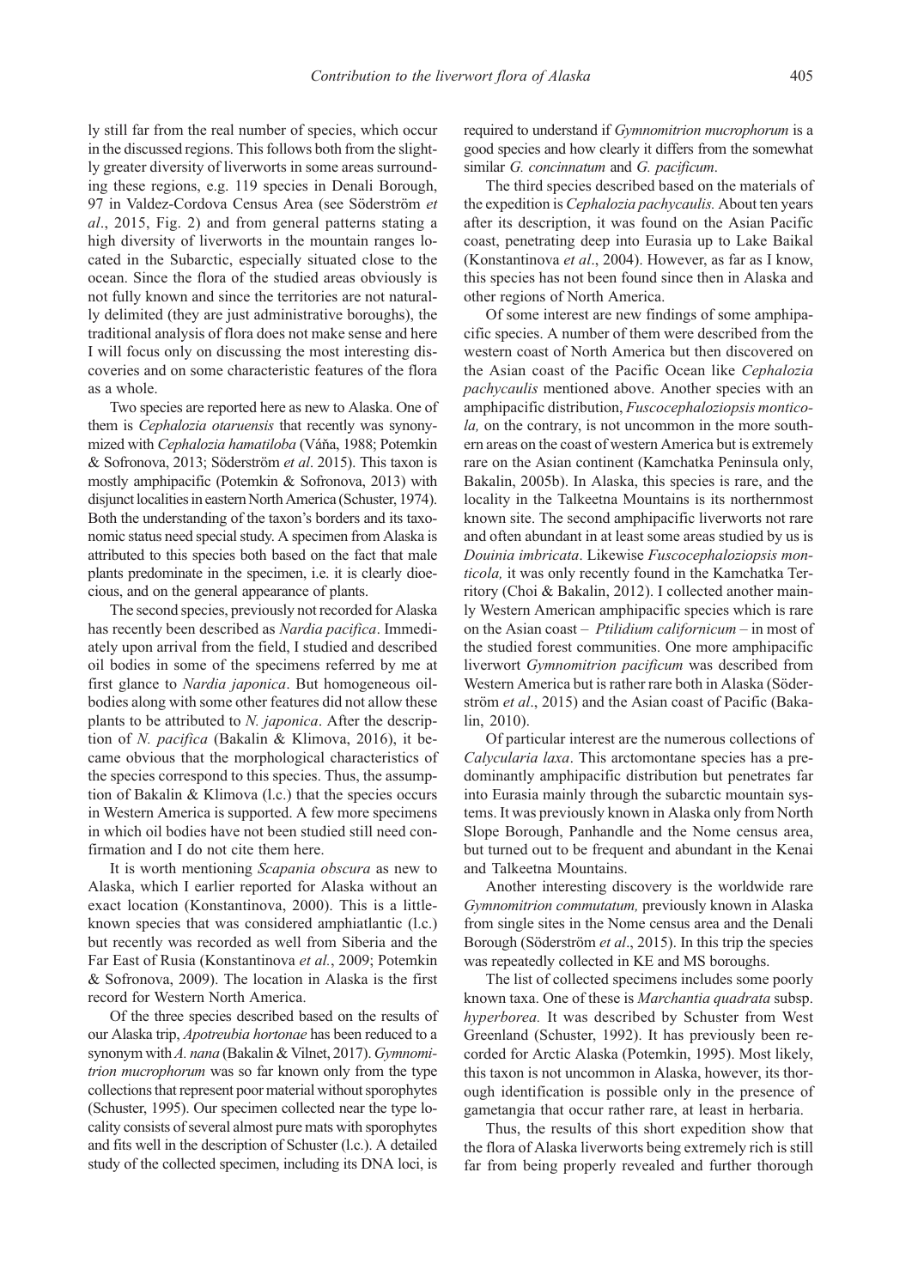ly still far from the real number of species, which occur in the discussed regions. This follows both from the slightly greater diversity of liverworts in some areas surrounding these regions, e.g. 119 species in Denali Borough, 97 in Valdez-Cordova Census Area (see Söderström et al., 2015, Fig. 2) and from general patterns stating a high diversity of liverworts in the mountain ranges located in the Subarctic, especially situated close to the ocean. Since the flora of the studied areas obviously is not fully known and since the territories are not naturally delimited (they are just administrative boroughs), the traditional analysis of flora does not make sense and here I will focus only on discussing the most interesting discoveries and on some characteristic features of the flora as a whole.

Two species are reported here as new to Alaska. One of them is Cephalozia otaruensis that recently was synonymized with Cephalozia hamatiloba (Váňa, 1988; Potemkin & Sofronova, 2013; Söderström et al. 2015). This taxon is mostly amphipacific (Potemkin & Sofronova, 2013) with disjunct localities in eastern North America (Schuster, 1974). Both the understanding of the taxon's borders and its taxonomic status need special study. A specimen from Alaska is attributed to this species both based on the fact that male plants predominate in the specimen, i.e. it is clearly dioecious, and on the general appearance of plants.

The second species, previously not recorded for Alaska has recently been described as Nardia pacifica. Immediately upon arrival from the field, I studied and described oil bodies in some of the specimens referred by me at first glance to Nardia japonica. But homogeneous oilbodies along with some other features did not allow these plants to be attributed to N. japonica. After the description of N. pacifica (Bakalin & Klimova, 2016), it became obvious that the morphological characteristics of the species correspond to this species. Thus, the assumption of Bakalin & Klimova (l.c.) that the species occurs in Western America is supported. A few more specimens in which oil bodies have not been studied still need confirmation and I do not cite them here.

It is worth mentioning Scapania obscura as new to Alaska, which I earlier reported for Alaska without an exact location (Konstantinova, 2000). This is a littleknown species that was considered amphiatlantic (l.c.) but recently was recorded as well from Siberia and the Far East of Rusia (Konstantinova et al., 2009; Potemkin & Sofronova, 2009). The location in Alaska is the first record for Western North America.

Of the three species described based on the results of our Alaska trip, Apotreubia hortonae has been reduced to a synonym with A. nana (Bakalin & Vilnet, 2017). Gymnomitrion mucrophorum was so far known only from the type collections that represent poor material without sporophytes (Schuster, 1995). Our specimen collected near the type locality consists of several almost pure mats with sporophytes and fits well in the description of Schuster (l.c.). A detailed study of the collected specimen, including its DNA loci, is

required to understand if Gymnomitrion mucrophorum is a good species and how clearly it differs from the somewhat similar G. concinnatum and G. pacificum.

The third species described based on the materials of the expedition is Cephalozia pachycaulis. About ten years after its description, it was found on the Asian Pacific coast, penetrating deep into Eurasia up to Lake Baikal (Konstantinova et al., 2004). However, as far as I know, this species has not been found since then in Alaska and other regions of North America.

Of some interest are new findings of some amphipacific species. A number of them were described from the western coast of North America but then discovered on the Asian coast of the Pacific Ocean like Cephalozia pachycaulis mentioned above. Another species with an amphipacific distribution, Fuscocephaloziopsis monticola, on the contrary, is not uncommon in the more southern areas on the coast of western America but is extremely rare on the Asian continent (Kamchatka Peninsula only, Bakalin, 2005b). In Alaska, this species is rare, and the locality in the Talkeetna Mountains is its northernmost known site. The second amphipacific liverworts not rare and often abundant in at least some areas studied by us is Douinia imbricata. Likewise Fuscocephaloziopsis monticola, it was only recently found in the Kamchatka Territory (Choi & Bakalin, 2012). I collected another mainly Western American amphipacific species which is rare on the Asian coast – *Ptilidium californicum* – in most of the studied forest communities. One more amphipacific liverwort Gymnomitrion pacificum was described from Western America but is rather rare both in Alaska (Söderström et al., 2015) and the Asian coast of Pacific (Bakalin, 2010).

Of particular interest are the numerous collections of Calycularia laxa. This arctomontane species has a predominantly amphipacific distribution but penetrates far into Eurasia mainly through the subarctic mountain systems. It was previously known in Alaska only from North Slope Borough, Panhandle and the Nome census area, but turned out to be frequent and abundant in the Kenai and Talkeetna Mountains.

Another interesting discovery is the worldwide rare Gymnomitrion commutatum, previously known in Alaska from single sites in the Nome census area and the Denali Borough (Söderström et al., 2015). In this trip the species was repeatedly collected in KE and MS boroughs.

The list of collected specimens includes some poorly known taxa. One of these is Marchantia quadrata subsp. hyperborea. It was described by Schuster from West Greenland (Schuster, 1992). It has previously been recorded for Arctic Alaska (Potemkin, 1995). Most likely, this taxon is not uncommon in Alaska, however, its thorough identification is possible only in the presence of gametangia that occur rather rare, at least in herbaria.

Thus, the results of this short expedition show that the flora of Alaska liverworts being extremely rich is still far from being properly revealed and further thorough